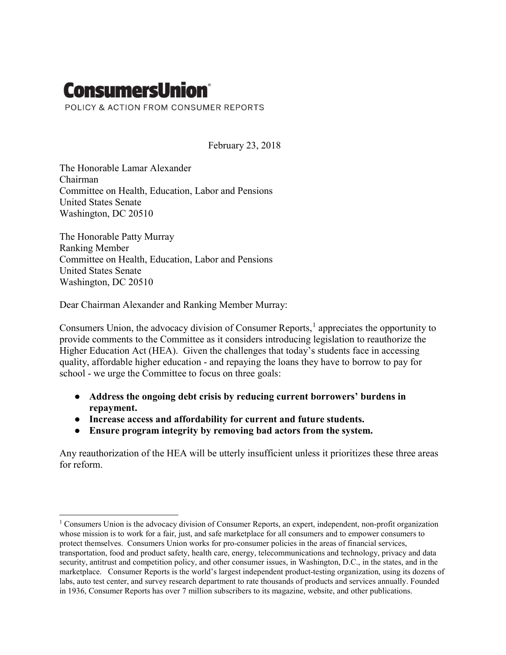# **ConsumersUnion®**

POLICY & ACTION FROM CONSUMER REPORTS

February 23, 2018

The Honorable Lamar Alexander Chairman Committee on Health, Education, Labor and Pensions United States Senate Washington, DC 20510

The Honorable Patty Murray Ranking Member Committee on Health, Education, Labor and Pensions United States Senate Washington, DC 20510

Dear Chairman Alexander and Ranking Member Murray:

Consumers Union, the advocacy division of Consumer Reports, $<sup>1</sup>$  appreciates the opportunity to</sup> provide comments to the Committee as it considers introducing legislation to reauthorize the Higher Education Act (HEA). Given the challenges that today's students face in accessing quality, affordable higher education - and repaying the loans they have to borrow to pay for school - we urge the Committee to focus on three goals:

- Address the ongoing debt crisis by reducing current borrowers' burdens in repayment.
- Increase access and affordability for current and future students.
- Ensure program integrity by removing bad actors from the system.

Any reauthorization of the HEA will be utterly insufficient unless it prioritizes these three areas for reform.

<sup>&</sup>lt;sup>1</sup> Consumers Union is the advocacy division of Consumer Reports, an expert, independent, non-profit organization whose mission is to work for a fair, just, and safe marketplace for all consumers and to empower consumers to protect themselves. Consumers Union works for pro-consumer policies in the areas of financial services, transportation, food and product safety, health care, energy, telecommunications and technology, privacy and data security, antitrust and competition policy, and other consumer issues, in Washington, D.C., in the states, and in the marketplace. Consumer Reports is the world's largest independent product-testing organization, using its dozens of labs, auto test center, and survey research department to rate thousands of products and services annually. Founded in 1936, Consumer Reports has over 7 million subscribers to its magazine, website, and other publications.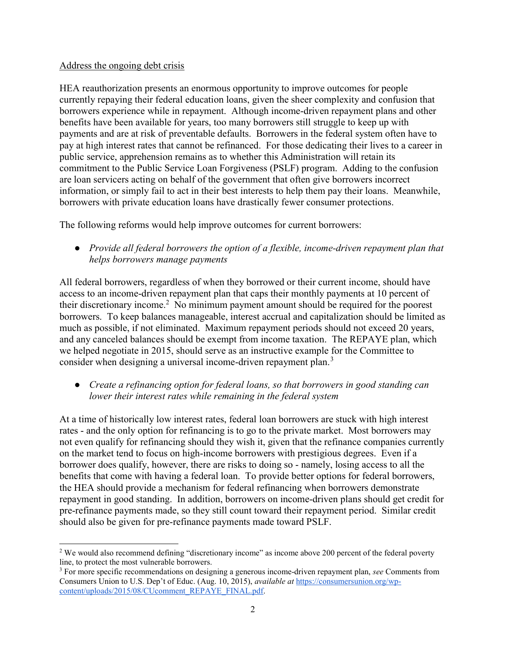## Address the ongoing debt crisis

HEA reauthorization presents an enormous opportunity to improve outcomes for people currently repaying their federal education loans, given the sheer complexity and confusion that borrowers experience while in repayment. Although income-driven repayment plans and other benefits have been available for years, too many borrowers still struggle to keep up with payments and are at risk of preventable defaults. Borrowers in the federal system often have to pay at high interest rates that cannot be refinanced. For those dedicating their lives to a career in public service, apprehension remains as to whether this Administration will retain its commitment to the Public Service Loan Forgiveness (PSLF) program. Adding to the confusion are loan servicers acting on behalf of the government that often give borrowers incorrect information, or simply fail to act in their best interests to help them pay their loans. Meanwhile, borrowers with private education loans have drastically fewer consumer protections.

The following reforms would help improve outcomes for current borrowers:

• Provide all federal borrowers the option of a flexible, income-driven repayment plan that helps borrowers manage payments

All federal borrowers, regardless of when they borrowed or their current income, should have access to an income-driven repayment plan that caps their monthly payments at 10 percent of their discretionary income.<sup>2</sup> No minimum payment amount should be required for the poorest borrowers. To keep balances manageable, interest accrual and capitalization should be limited as much as possible, if not eliminated. Maximum repayment periods should not exceed 20 years, and any canceled balances should be exempt from income taxation. The REPAYE plan, which we helped negotiate in 2015, should serve as an instructive example for the Committee to consider when designing a universal income-driven repayment plan.<sup>3</sup>

• Create a refinancing option for federal loans, so that borrowers in good standing can lower their interest rates while remaining in the federal system

At a time of historically low interest rates, federal loan borrowers are stuck with high interest rates - and the only option for refinancing is to go to the private market. Most borrowers may not even qualify for refinancing should they wish it, given that the refinance companies currently on the market tend to focus on high-income borrowers with prestigious degrees. Even if a borrower does qualify, however, there are risks to doing so - namely, losing access to all the benefits that come with having a federal loan. To provide better options for federal borrowers, the HEA should provide a mechanism for federal refinancing when borrowers demonstrate repayment in good standing. In addition, borrowers on income-driven plans should get credit for pre-refinance payments made, so they still count toward their repayment period. Similar credit should also be given for pre-refinance payments made toward PSLF.

<sup>&</sup>lt;sup>2</sup> We would also recommend defining "discretionary income" as income above 200 percent of the federal poverty line, to protect the most vulnerable borrowers.

<sup>&</sup>lt;sup>3</sup> For more specific recommendations on designing a generous income-driven repayment plan, see Comments from Consumers Union to U.S. Dep't of Educ. (Aug. 10, 2015), available at https://consumersunion.org/wpcontent/uploads/2015/08/CUcomment\_REPAYE\_FINAL.pdf.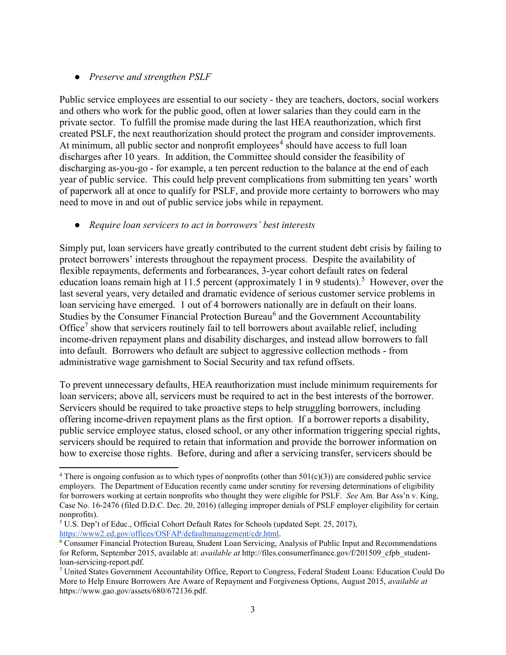## • Preserve and strengthen PSLF

Public service employees are essential to our society - they are teachers, doctors, social workers and others who work for the public good, often at lower salaries than they could earn in the private sector. To fulfill the promise made during the last HEA reauthorization, which first created PSLF, the next reauthorization should protect the program and consider improvements. At minimum, all public sector and nonprofit employees<sup>4</sup> should have access to full loan discharges after 10 years. In addition, the Committee should consider the feasibility of discharging as-you-go - for example, a ten percent reduction to the balance at the end of each year of public service. This could help prevent complications from submitting ten years' worth of paperwork all at once to qualify for PSLF, and provide more certainty to borrowers who may need to move in and out of public service jobs while in repayment.

## Require loan servicers to act in borrowers' best interests

Simply put, loan servicers have greatly contributed to the current student debt crisis by failing to protect borrowers' interests throughout the repayment process. Despite the availability of flexible repayments, deferments and forbearances, 3-year cohort default rates on federal education loans remain high at 11.5 percent (approximately 1 in 9 students).<sup>5</sup> However, over the last several years, very detailed and dramatic evidence of serious customer service problems in loan servicing have emerged. 1 out of 4 borrowers nationally are in default on their loans. Studies by the Consumer Financial Protection Bureau<sup>6</sup> and the Government Accountability Office<sup>7</sup> show that servicers routinely fail to tell borrowers about available relief, including income-driven repayment plans and disability discharges, and instead allow borrowers to fall into default. Borrowers who default are subject to aggressive collection methods - from administrative wage garnishment to Social Security and tax refund offsets.

To prevent unnecessary defaults, HEA reauthorization must include minimum requirements for loan servicers; above all, servicers must be required to act in the best interests of the borrower. Servicers should be required to take proactive steps to help struggling borrowers, including offering income-driven repayment plans as the first option. If a borrower reports a disability, public service employee status, closed school, or any other information triggering special rights, servicers should be required to retain that information and provide the borrower information on how to exercise those rights. Before, during and after a servicing transfer, servicers should be

<sup>&</sup>lt;sup>4</sup> There is ongoing confusion as to which types of nonprofits (other than  $501(c)(3)$ ) are considered public service employers. The Department of Education recently came under scrutiny for reversing determinations of eligibility for borrowers working at certain nonprofits who thought they were eligible for PSLF. See Am. Bar Ass'n v. King, Case No. 16-2476 (filed D.D.C. Dec. 20, 2016) (alleging improper denials of PSLF employer eligibility for certain nonprofits).

<sup>&</sup>lt;sup>5</sup> U.S. Dep't of Educ., Official Cohort Default Rates for Schools (updated Sept. 25, 2017), https://www2.ed.gov/offices/OSFAP/defaultmanagement/cdr.html.

<sup>6</sup> Consumer Financial Protection Bureau, Student Loan Servicing, Analysis of Public Input and Recommendations for Reform, September 2015, available at: *available at* http://files.consumerfinance.gov/f/201509\_cfpb\_studentloan-servicing-report.pdf.

<sup>7</sup> United States Government Accountability Office, Report to Congress, Federal Student Loans: Education Could Do More to Help Ensure Borrowers Are Aware of Repayment and Forgiveness Options, August 2015, *available at* https://www.gao.gov/assets/680/672136.pdf.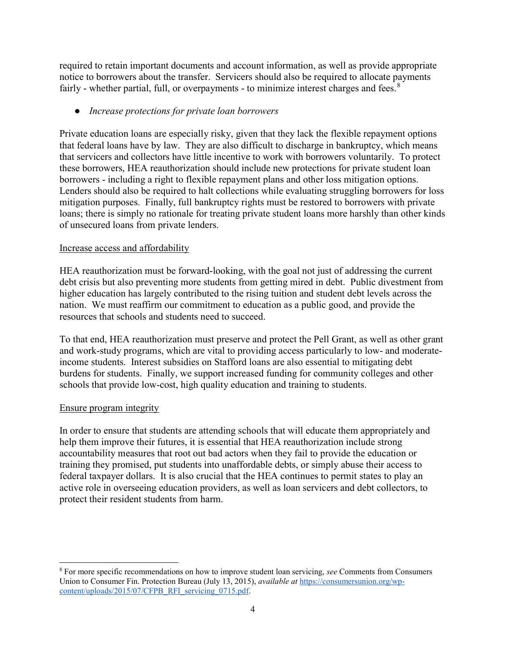required to retain important documents and account information, as well as provide appropriate notice to borrowers about the transfer. Servicers should also be required to allocate payments fairly - whether partial, full, or overpayments - to minimize interest charges and fees.  $8$ 

## • Increase protections for private loan borrowers

Private education loans are especially risky, given that they lack the flexible repayment options that federal loans have by law. They are also difficult to discharge in bankruptcy, which means that servicers and collectors have little incentive to work with borrowers voluntarily. To protect these borrowers, HEA reauthorization should include new protections for private student loan borrowers - including a right to flexible repayment plans and other loss mitigation options. Lenders should also be required to halt collections while evaluating struggling borrowers for loss mitigation purposes. Finally, full bankruptcy rights must be restored to borrowers with private loans; there is simply no rationale for treating private student loans more harshly than other kinds of unsecured loans from private lenders.

## Increase access and affordability

HEA reauthorization must be forward-looking, with the goal not just of addressing the current debt crisis but also preventing more students from getting mired in debt. Public divestment from higher education has largely contributed to the rising tuition and student debt levels across the nation. We must reaffirm our commitment to education as a public good, and provide the resources that schools and students need to succeed.

To that end, HEA reauthorization must preserve and protect the Pell Grant, as well as other grant and work-study programs, which are vital to providing access particularly to low- and moderateincome students. Interest subsidies on Stafford loans are also essential to mitigating debt burdens for students. Finally, we support increased funding for community colleges and other schools that provide low-cost, high quality education and training to students.

## Ensure program integrity

 $\overline{a}$ 

In order to ensure that students are attending schools that will educate them appropriately and help them improve their futures, it is essential that HEA reauthorization include strong accountability measures that root out bad actors when they fail to provide the education or training they promised, put students into unaffordable debts, or simply abuse their access to federal taxpayer dollars. It is also crucial that the HEA continues to permit states to play an active role in overseeing education providers, as well as loan servicers and debt collectors, to protect their resident students from harm.

<sup>&</sup>lt;sup>8</sup> For more specific recommendations on how to improve student loan servicing, see Comments from Consumers Union to Consumer Fin. Protection Bureau (July 13, 2015), available at https://consumersunion.org/wpcontent/uploads/2015/07/CFPB\_RFI\_servicing\_0715.pdf.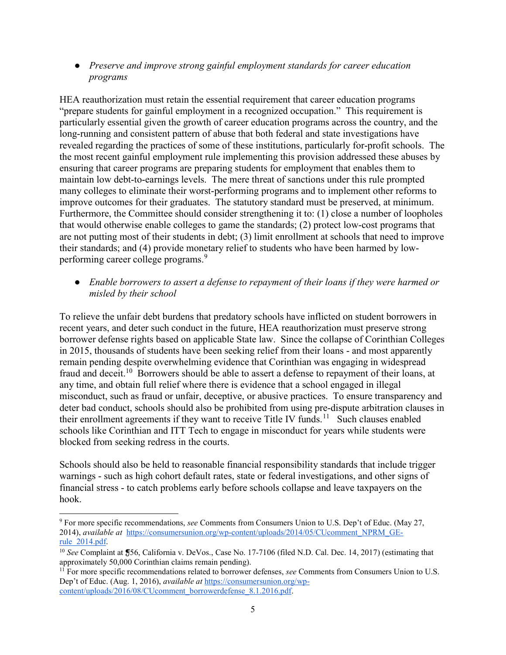• Preserve and improve strong gainful employment standards for career education programs

HEA reauthorization must retain the essential requirement that career education programs "prepare students for gainful employment in a recognized occupation." This requirement is particularly essential given the growth of career education programs across the country, and the long-running and consistent pattern of abuse that both federal and state investigations have revealed regarding the practices of some of these institutions, particularly for-profit schools. The the most recent gainful employment rule implementing this provision addressed these abuses by ensuring that career programs are preparing students for employment that enables them to maintain low debt-to-earnings levels. The mere threat of sanctions under this rule prompted many colleges to eliminate their worst-performing programs and to implement other reforms to improve outcomes for their graduates. The statutory standard must be preserved, at minimum. Furthermore, the Committee should consider strengthening it to: (1) close a number of loopholes that would otherwise enable colleges to game the standards; (2) protect low-cost programs that are not putting most of their students in debt; (3) limit enrollment at schools that need to improve their standards; and (4) provide monetary relief to students who have been harmed by lowperforming career college programs.<sup>9</sup>

● Enable borrowers to assert a defense to repayment of their loans if they were harmed or misled by their school

To relieve the unfair debt burdens that predatory schools have inflicted on student borrowers in recent years, and deter such conduct in the future, HEA reauthorization must preserve strong borrower defense rights based on applicable State law. Since the collapse of Corinthian Colleges in 2015, thousands of students have been seeking relief from their loans - and most apparently remain pending despite overwhelming evidence that Corinthian was engaging in widespread fraud and deceit.<sup>10</sup> Borrowers should be able to assert a defense to repayment of their loans, at any time, and obtain full relief where there is evidence that a school engaged in illegal misconduct, such as fraud or unfair, deceptive, or abusive practices. To ensure transparency and deter bad conduct, schools should also be prohibited from using pre-dispute arbitration clauses in their enrollment agreements if they want to receive Title IV funds.<sup>11</sup> Such clauses enabled schools like Corinthian and ITT Tech to engage in misconduct for years while students were blocked from seeking redress in the courts.

Schools should also be held to reasonable financial responsibility standards that include trigger warnings - such as high cohort default rates, state or federal investigations, and other signs of financial stress - to catch problems early before schools collapse and leave taxpayers on the hook.

<sup>&</sup>lt;sup>9</sup> For more specific recommendations, see Comments from Consumers Union to U.S. Dep't of Educ. (May 27, 2014), available at https://consumersunion.org/wp-content/uploads/2014/05/CUcomment\_NPRM\_GErule\_2014.pdf.

 $10$  See Complaint at  $\frac{4}{56}$ , California v. DeVos., Case No. 17-7106 (filed N.D. Cal. Dec. 14, 2017) (estimating that approximately 50,000 Corinthian claims remain pending).

<sup>&</sup>lt;sup>11</sup> For more specific recommendations related to borrower defenses, see Comments from Consumers Union to U.S. Dep't of Educ. (Aug. 1, 2016), *available at* https://consumersunion.org/wpcontent/uploads/2016/08/CUcomment\_borrowerdefense\_8.1.2016.pdf.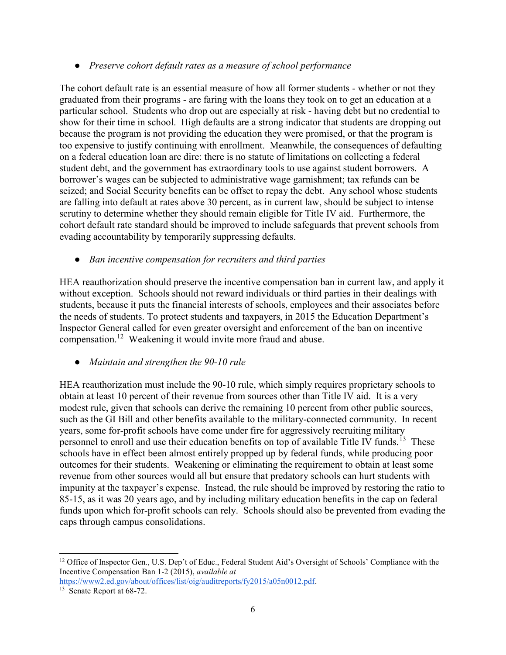## ● Preserve cohort default rates as a measure of school performance

The cohort default rate is an essential measure of how all former students - whether or not they graduated from their programs - are faring with the loans they took on to get an education at a particular school. Students who drop out are especially at risk - having debt but no credential to show for their time in school. High defaults are a strong indicator that students are dropping out because the program is not providing the education they were promised, or that the program is too expensive to justify continuing with enrollment. Meanwhile, the consequences of defaulting on a federal education loan are dire: there is no statute of limitations on collecting a federal student debt, and the government has extraordinary tools to use against student borrowers. A borrower's wages can be subjected to administrative wage garnishment; tax refunds can be seized; and Social Security benefits can be offset to repay the debt. Any school whose students are falling into default at rates above 30 percent, as in current law, should be subject to intense scrutiny to determine whether they should remain eligible for Title IV aid. Furthermore, the cohort default rate standard should be improved to include safeguards that prevent schools from evading accountability by temporarily suppressing defaults.

## • Ban incentive compensation for recruiters and third parties

HEA reauthorization should preserve the incentive compensation ban in current law, and apply it without exception. Schools should not reward individuals or third parties in their dealings with students, because it puts the financial interests of schools, employees and their associates before the needs of students. To protect students and taxpayers, in 2015 the Education Department's Inspector General called for even greater oversight and enforcement of the ban on incentive compensation.<sup>12</sup> Weakening it would invite more fraud and abuse.

## • Maintain and strengthen the 90-10 rule

HEA reauthorization must include the 90-10 rule, which simply requires proprietary schools to obtain at least 10 percent of their revenue from sources other than Title IV aid. It is a very modest rule, given that schools can derive the remaining 10 percent from other public sources, such as the GI Bill and other benefits available to the military-connected community. In recent years, some for-profit schools have come under fire for aggressively recruiting military personnel to enroll and use their education benefits on top of available Title IV funds.<sup>13</sup> These schools have in effect been almost entirely propped up by federal funds, while producing poor outcomes for their students. Weakening or eliminating the requirement to obtain at least some revenue from other sources would all but ensure that predatory schools can hurt students with impunity at the taxpayer's expense. Instead, the rule should be improved by restoring the ratio to 85-15, as it was 20 years ago, and by including military education benefits in the cap on federal funds upon which for-profit schools can rely. Schools should also be prevented from evading the caps through campus consolidations.

 $\overline{a}$ 

<sup>&</sup>lt;sup>12</sup> Office of Inspector Gen., U.S. Dep't of Educ., Federal Student Aid's Oversight of Schools' Compliance with the Incentive Compensation Ban 1-2 (2015), available at https://www2.ed.gov/about/offices/list/oig/auditreports/fy2015/a05n0012.pdf.

<sup>&</sup>lt;sup>13</sup> Senate Report at 68-72.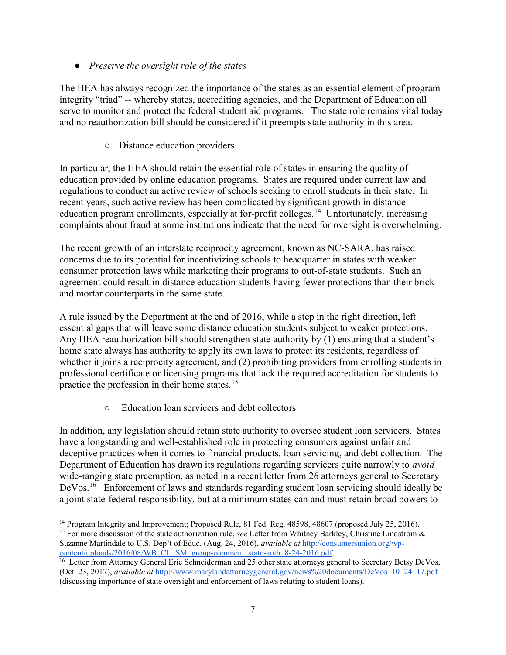• Preserve the oversight role of the states

The HEA has always recognized the importance of the states as an essential element of program integrity "triad" -- whereby states, accrediting agencies, and the Department of Education all serve to monitor and protect the federal student aid programs. The state role remains vital today and no reauthorization bill should be considered if it preempts state authority in this area.

○ Distance education providers

In particular, the HEA should retain the essential role of states in ensuring the quality of education provided by online education programs. States are required under current law and regulations to conduct an active review of schools seeking to enroll students in their state. In recent years, such active review has been complicated by significant growth in distance education program enrollments, especially at for-profit colleges.<sup>14</sup> Unfortunately, increasing complaints about fraud at some institutions indicate that the need for oversight is overwhelming.

The recent growth of an interstate reciprocity agreement, known as NC-SARA, has raised concerns due to its potential for incentivizing schools to headquarter in states with weaker consumer protection laws while marketing their programs to out-of-state students. Such an agreement could result in distance education students having fewer protections than their brick and mortar counterparts in the same state.

A rule issued by the Department at the end of 2016, while a step in the right direction, left essential gaps that will leave some distance education students subject to weaker protections. Any HEA reauthorization bill should strengthen state authority by (1) ensuring that a student's home state always has authority to apply its own laws to protect its residents, regardless of whether it joins a reciprocity agreement, and (2) prohibiting providers from enrolling students in professional certificate or licensing programs that lack the required accreditation for students to practice the profession in their home states.<sup>15</sup>

○ Education loan servicers and debt collectors

In addition, any legislation should retain state authority to oversee student loan servicers. States have a longstanding and well-established role in protecting consumers against unfair and deceptive practices when it comes to financial products, loan servicing, and debt collection. The Department of Education has drawn its regulations regarding servicers quite narrowly to *avoid* wide-ranging state preemption, as noted in a recent letter from 26 attorneys general to Secretary DeVos.<sup>16</sup> Enforcement of laws and standards regarding student loan servicing should ideally be a joint state-federal responsibility, but at a minimum states can and must retain broad powers to

 <sup>14</sup> Program Integrity and Improvement; Proposed Rule, 81 Fed. Reg. 48598, 48607 (proposed July 25, 2016).

<sup>&</sup>lt;sup>15</sup> For more discussion of the state authorization rule, see Letter from Whitney Barkley, Christine Lindstrom  $\&$ Suzanne Martindale to U.S. Dep't of Educ. (Aug. 24, 2016), available at http://consumersunion.org/wpcontent/uploads/2016/08/WB\_CL\_SM\_group-comment\_state-auth\_8-24-2016.pdf.

<sup>&</sup>lt;sup>16</sup> Letter from Attorney General Eric Schneiderman and 25 other state attorneys general to Secretary Betsy DeVos, (Oct. 23, 2017), available at http://www.marylandattorneygeneral.gov/news%20documents/DeVos\_10\_24\_17.pdf (discussing importance of state oversight and enforcement of laws relating to student loans).